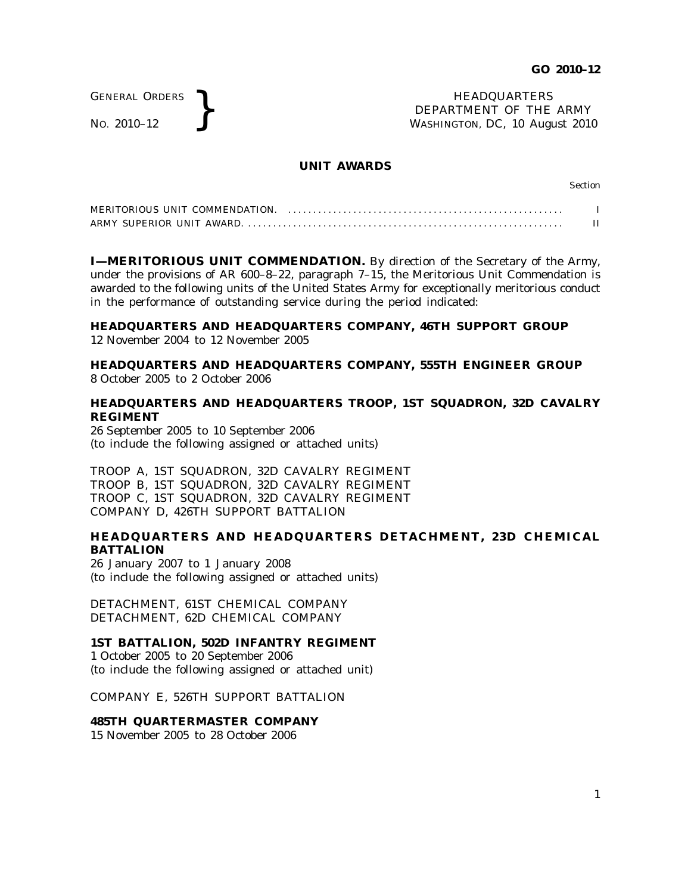GENERAL ORDERS

GENERAL ORDERS **REAL ORDERS** HEADQUARTERS **HEADQUARTERS HEADQUARTERS DEPARTMENT** OF THE **WASHINGTON, DC, 10 Aug** DEPARTMENT OF THE ARMY WASHINGTON, DC, *10 August 2010*

### **UNIT AWARDS**

Section

| MERITORIOUS UNIT COMMENDATION. |  |
|--------------------------------|--|
|                                |  |

**I—MERITORIOUS UNIT COMMENDATION.** By direction of the Secretary of the Army, under the provisions of AR  $600-8-22$ , paragraph  $7-15$ , the Meritorious Unit Commendation is awarded to the following units of the United States Army for exceptionally meritorious conduct in the performance of outstanding service during the period indicated:

# **HEADQUARTERS AND HEADQUARTERS COMPANY, 46TH SUPPORT GROUP**

12 November 2004 to 12 November 2005

## **HEADQUARTERS AND HEADQUARTERS COMPANY, 555TH ENGINEER GROUP** 8 October 2005 to 2 October 2006

# **HEADQUARTERS AND HEADQUARTERS TROOP, 1ST SQUADRON, 32D CAVALRY REGIMENT**

26 September 2005 to 10 September 2006 (to include the following assigned or attached units)

TROOP A, 1ST SQUADRON, 32D CAVALRY REGIMENT TROOP B, 1ST SQUADRON, 32D CAVALRY REGIMENT TROOP C, 1ST SQUADRON, 32D CAVALRY REGIMENT COMPANY D, 426TH SUPPORT BATTALION

# **HEADQUARTERS AND HEADQUARTERS DETACHMENT, 23D CHEMICAL BATTALION**

26 January 2007 to 1 January 2008 (to include the following assigned or attached units)

DETACHMENT, 61ST CHEMICAL COMPANY DETACHMENT, 62D CHEMICAL COMPANY

# **1ST BATTALION, 502D INFANTRY REGIMENT**

1 October 2005 to 20 September 2006 (to include the following assigned or attached unit)

COMPANY E, 526TH SUPPORT BATTALION

### **485TH QUARTERMASTER COMPANY**

15 November 2005 to 28 October 2006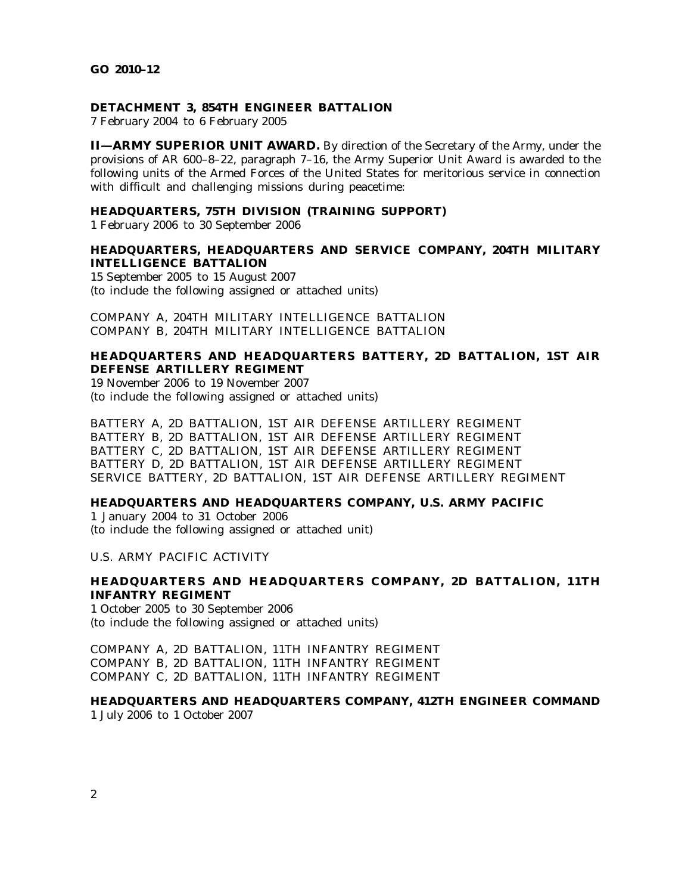### **DETACHMENT 3, 854TH ENGINEER BATTALION**

7 February 2004 to 6 February 2005

**II—ARMY SUPERIOR UNIT AWARD.** By direction of the Secretary of the Army, under the provisions of AR 600–8–22, paragraph 7–16, the Army Superior Unit Award is awarded to the following units of the Armed Forces of the United States for meritorious service in connection with difficult and challenging missions during peacetime:

## **HEADQUARTERS, 75TH DIVISION (TRAINING SUPPORT)**

1 February 2006 to 30 September 2006

## **HEADQUARTERS, HEADQUARTERS AND SERVICE COMPANY, 204TH MILITARY INTELLIGENCE BATTALION**

15 September 2005 to 15 August 2007 (to include the following assigned or attached units)

COMPANY A, 204TH MILITARY INTELLIGENCE BATTALION COMPANY B, 204TH MILITARY INTELLIGENCE BATTALION

# **HEADQUARTERS AND HEADQUARTERS BATTERY, 2D BATTALION, 1ST AIR DEFENSE ARTILLERY REGIMENT**

19 November 2006 to 19 November 2007 (to include the following assigned or attached units)

BATTERY A, 2D BATTALION, 1ST AIR DEFENSE ARTILLERY REGIMENT BATTERY B, 2D BATTALION, 1ST AIR DEFENSE ARTILLERY REGIMENT BATTERY C, 2D BATTALION, 1ST AIR DEFENSE ARTILLERY REGIMENT BATTERY D, 2D BATTALION, 1ST AIR DEFENSE ARTILLERY REGIMENT SERVICE BATTERY, 2D BATTALION, 1ST AIR DEFENSE ARTILLERY REGIMENT

## **HEADQUARTERS AND HEADQUARTERS COMPANY, U.S. ARMY PACIFIC**

1 January 2004 to 31 October 2006 (to include the following assigned or attached unit)

U.S. ARMY PACIFIC ACTIVITY

## **HEADQUARTERS AND HEADQUARTERS COMPANY, 2D BATTALION, 11TH INFANTRY REGIMENT**

1 October 2005 to 30 September 2006 (to include the following assigned or attached units)

COMPANY A, 2D BATTALION, 11TH INFANTRY REGIMENT COMPANY B, 2D BATTALION, 11TH INFANTRY REGIMENT COMPANY C, 2D BATTALION, 11TH INFANTRY REGIMENT

# **HEADQUARTERS AND HEADQUARTERS COMPANY, 412TH ENGINEER COMMAND**

1 July 2006 to 1 October 2007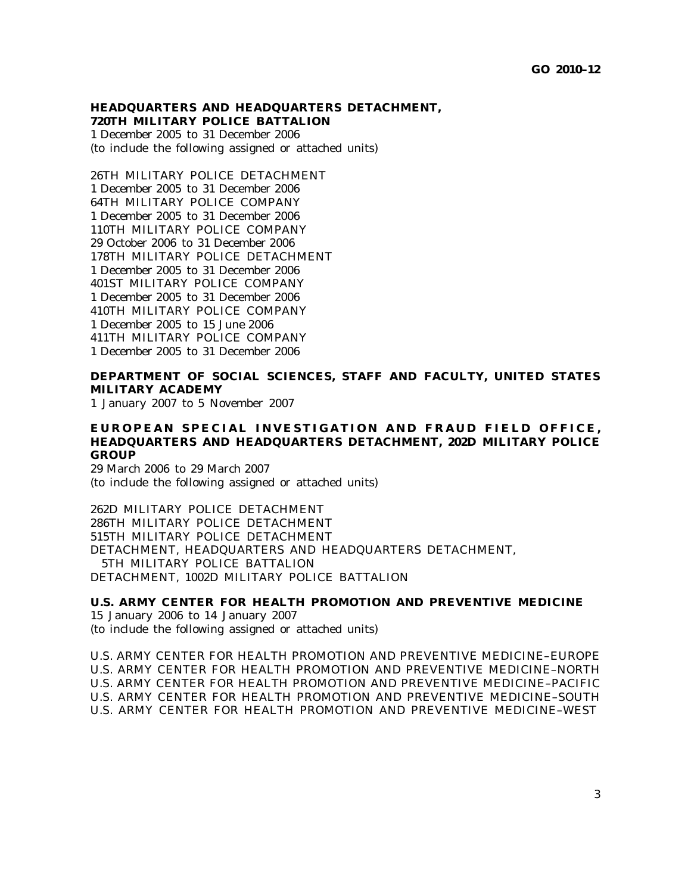# **HEADQUARTERS AND HEADQUARTERS DETACHMENT, 720TH MILITARY POLICE BATTALION**

1 December 2005 to 31 December 2006 (to include the following assigned or attached units)

26TH MILITARY POLICE DETACHMENT 1 December 2005 to 31 December 2006 64TH MILITARY POLICE COMPANY 1 December 2005 to 31 December 2006 110TH MILITARY POLICE COMPANY 29 October 2006 to 31 December 2006 178TH MILITARY POLICE DETACHMENT 1 December 2005 to 31 December 2006 401ST MILITARY POLICE COMPANY 1 December 2005 to 31 December 2006 410TH MILITARY POLICE COMPANY 1 December 2005 to 15 June 2006 411TH MILITARY POLICE COMPANY 1 December 2005 to 31 December 2006

# **DEPARTMENT OF SOCIAL SCIENCES, STAFF AND FACULTY, UNITED STATES MILITARY ACADEMY**

1 January 2007 to 5 November 2007

# EUROPEAN SPECIAL INVESTIGATION AND FRAUD FIELD OFFICE, **HEADQUARTERS AND HEADQUARTERS DETACHMENT, 202D MILITARY POLICE GROUP**

29 March 2006 to 29 March 2007 (to include the following assigned or attached units)

262D MILITARY POLICE DETACHMENT 286TH MILITARY POLICE DETACHMENT 515TH MILITARY POLICE DETACHMENT DETACHMENT, HEADQUARTERS AND HEADQUARTERS DETACHMENT, 5TH MILITARY POLICE BATTALION DETACHMENT, 1002D MILITARY POLICE BATTALION

**U.S. ARMY CENTER FOR HEALTH PROMOTION AND PREVENTIVE MEDICINE** 15 January 2006 to 14 January 2007 (to include the following assigned or attached units)

U.S. ARMY CENTER FOR HEALTH PROMOTION AND PREVENTIVE MEDICINE–EUROPE U.S. ARMY CENTER FOR HEALTH PROMOTION AND PREVENTIVE MEDICINE–NORTH U.S. ARMY CENTER FOR HEALTH PROMOTION AND PREVENTIVE MEDICINE–PACIFIC U.S. ARMY CENTER FOR HEALTH PROMOTION AND PREVENTIVE MEDICINE–SOUTH U.S. ARMY CENTER FOR HEALTH PROMOTION AND PREVENTIVE MEDICINE–WEST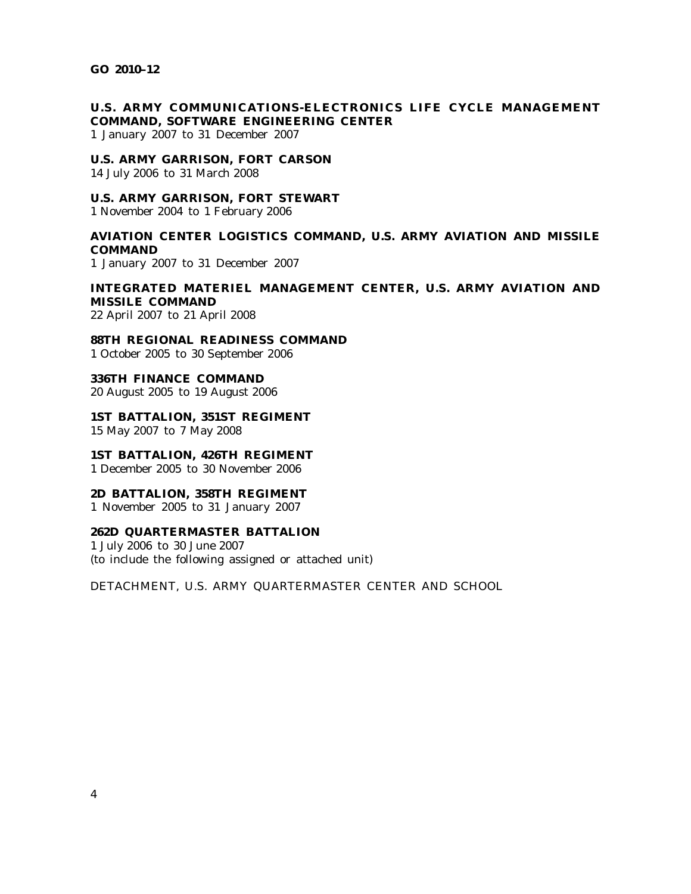# **U.S. ARMY COMMUNICATIONS-ELECTRONICS LIFE CYCLE MANAGEMENT COMMAND, SOFTWARE ENGINEERING CENTER**

1 January 2007 to 31 December 2007

#### **U.S. ARMY GARRISON, FORT CARSON**

14 July 2006 to 31 March 2008

## **U.S. ARMY GARRISON, FORT STEWART**

1 November 2004 to 1 February 2006

# **AVIATION CENTER LOGISTICS COMMAND, U.S. ARMY AVIATION AND MISSILE COMMAND**

1 January 2007 to 31 December 2007

# **INTEGRATED MATERIEL MANAGEMENT CENTER, U.S. ARMY AVIATION AND MISSILE COMMAND**

22 April 2007 to 21 April 2008

**88TH REGIONAL READINESS COMMAND** 1 October 2005 to 30 September 2006

**336TH FINANCE COMMAND** 20 August 2005 to 19 August 2006

**1ST BATTALION, 351ST REGIMENT** 15 May 2007 to 7 May 2008

## **1ST BATTALION, 426TH REGIMENT**

1 December 2005 to 30 November 2006

## **2D BATTALION, 358TH REGIMENT**

1 November 2005 to 31 January 2007

## **262D QUARTERMASTER BATTALION**

1 July 2006 to 30 June 2007 (to include the following assigned or attached unit)

DETACHMENT, U.S. ARMY QUARTERMASTER CENTER AND SCHOOL